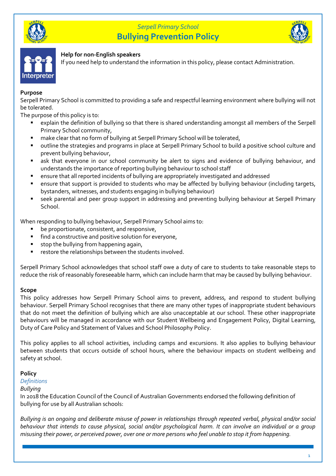



# **Help for non-English speakers**

If you need help to understand the information in this policy, please contact Administration.

# **Purpose**

Serpell Primary School is committed to providing a safe and respectful learning environment where bullying will not be tolerated.

The purpose of this policy is to:

- explain the definition of bullying so that there is shared understanding amongst all members of the Serpell Primary School community,
- make clear that no form of bullying at Serpell Primary School will be tolerated,
- outline the strategies and programs in place at Serpell Primary School to build a positive school culture and prevent bullying behaviour,
- ask that everyone in our school community be alert to signs and evidence of bullying behaviour, and understands the importance of reporting bullying behaviour to school staff
- ensure that all reported incidents of bullying are appropriately investigated and addressed
- ensure that support is provided to students who may be affected by bullying behaviour (including targets, bystanders, witnesses, and students engaging in bullying behaviour)
- seek parental and peer group support in addressing and preventing bullying behaviour at Serpell Primary School.

When responding to bullying behaviour, Serpell Primary School aims to:

- be proportionate, consistent, and responsive,
- find a constructive and positive solution for everyone,
- stop the bullying from happening again,
- restore the relationships between the students involved.

Serpell Primary School acknowledges that school staff owe a duty of care to students to take reasonable steps to reduce the risk of reasonably foreseeable harm, which can include harm that may be caused by bullying behaviour.

## **Scope**

This policy addresses how Serpell Primary School aims to prevent, address, and respond to student bullying behaviour. Serpell Primary School recognises that there are many other types of inappropriate student behaviours that do not meet the definition of bullying which are also unacceptable at our school. These other inappropriate behaviours will be managed in accordance with our Student Wellbeing and Engagement Policy, Digital Learning, Duty of Care Policy and Statement of Values and School Philosophy Policy.

This policy applies to all school activities, including camps and excursions. It also applies to bullying behaviour between students that occurs outside of school hours, where the behaviour impacts on student wellbeing and safety at school.

# **Policy**

## *Definitions*

## *Bullying*

In 2018 the Education Council of the Council of Australian Governments endorsed the following definition of bullying for use by all Australian schools:

*Bullying is an ongoing and deliberate misuse of power in relationships through repeated verbal, physical and/or social behaviour that intends to cause physical, social and/or psychological harm. It can involve an individual or a group misusing their power, or perceived power, over one or more persons who feel unable to stop it from happening.*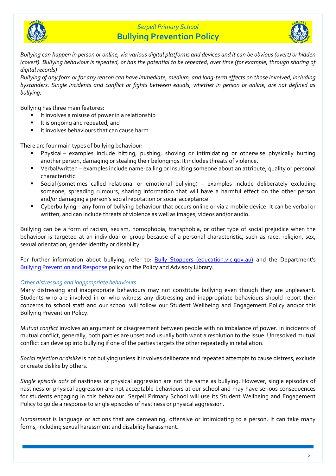



*Bullying can happen in person or online, via various digital platforms and devices and it can be obvious (overt) or hidden (covert). Bullying behaviour is repeated, or has the potential to be repeated, over time (for example, through sharing of digital records)*

*Bullying of any form or for any reason can have immediate, medium, and long-term effects on those involved, including bystanders. Single incidents and conflict or fights between equals, whether in person or online, are not defined as bullying.* 

Bullying has three main features:

- It involves a misuse of power in a relationship
- It is ongoing and repeated, and
- It involves behaviours that can cause harm.

There are four main types of bullying behaviour:

- Physical examples include hitting, pushing, shoving or intimidating or otherwise physically hurting another person, damaging or stealing their belongings. It includes threats of violence.
- Verbal/written examples include name-calling or insulting someone about an attribute, quality or personal characteristic.
- Social (sometimes called relational or emotional bullying) examples include deliberately excluding someone, spreading rumours, sharing information that will have a harmful effect on the other person and/or damaging a person's social reputation or social acceptance.
- Cyberbullying any form of bullying behaviour that occurs online or via a mobile device. It can be verbal or written, and can include threats of violence as well as images, videos and/or audio.

Bullying can be a form of racism, sexism, homophobia, transphobia, or other type of social prejudice when the behaviour is targeted at an individual or group because of a personal characteristic, such as race, religion, sex, sexual orientation, gender identity or disability.

For further information about bullying, refer to: **[Bully Stoppers \(education.vic.gov.au\)](https://www.education.vic.gov.au/about/programs/bullystoppers/Pages/default.aspx)** and the Department's [Bullying Prevention and Response](https://www2.education.vic.gov.au/pal/bullying-prevention-response/policy) policy on the Policy and Advisory Library.

### *Other distressing and inappropriate behaviours*

Many distressing and inappropriate behaviours may not constitute bullying even though they are unpleasant. Students who are involved in or who witness any distressing and inappropriate behaviours should report their concerns to school staff and our school will follow our Student Wellbeing and Engagement Policy and/or this Bullying Prevention Policy.

*Mutual conflict* involves an argument or disagreement between people with no imbalance of power. In incidents of mutual conflict, generally, both parties are upset and usually both want a resolution to the issue. Unresolved mutual conflict can develop into bullying if one of the parties targets the other repeatedly in retaliation.

*Social rejection or dislike* is not bullying unless it involves deliberate and repeated attempts to cause distress, exclude or create dislike by others.

*Single episode acts* of nastiness or physical aggression are not the same as bullying. However, single episodes of nastiness or physical aggression are not acceptable behaviours at our school and may have serious consequences for students engaging in this behaviour. Serpell Primary School will use its Student Wellbeing and Engagement Policy to guide a response to single episodes of nastiness or physical aggression.

*Harassment* is language or actions that are demeaning, offensive or intimidating to a person. It can take many forms, including sexual harassment and disability harassment.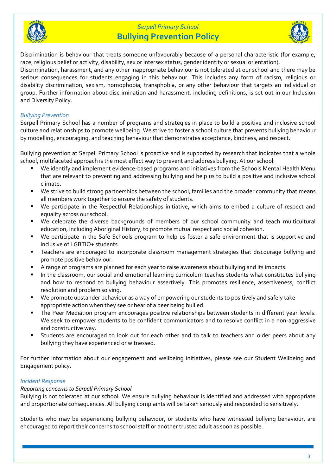



Discrimination is behaviour that treats someone unfavourably because of a personal characteristic (for example, race, religious belief or activity, disability, sex or intersex status, gender identity or sexual orientation). Discrimination, harassment, and any other inappropriate behaviour is not tolerated at our school and there may be serious consequences for students engaging in this behaviour. This includes any form of racism, religious or disability discrimination, sexism, homophobia, transphobia, or any other behaviour that targets an individual or group. Further information about discrimination and harassment, including definitions, is set out in our Inclusion

## *Bullying Prevention*

and Diversity Policy.

Serpell Primary School has a number of programs and strategies in place to build a positive and inclusive school culture and relationships to promote wellbeing. We strive to foster a school culture that prevents bullying behaviour by modelling, encouraging, and teaching behaviour that demonstrates acceptance, kindness, and respect.

Bullying prevention at Serpell Primary School is proactive and is supported by research that indicates that a whole school, multifaceted approach is the most effect way to prevent and address bullying. At our school:

- We identify and implement evidence-based programs and initiatives from the Schools Mental Health Menu that are relevant to preventing and addressing bullying and help us to build a positive and inclusive school climate.
- We strive to build strong partnerships between the school, families and the broader community that means all members work together to ensure the safety of students.
- We participate in the Respectful Relationships initiative, which aims to embed a culture of respect and equality across our school.
- We celebrate the diverse backgrounds of members of our school community and teach multicultural education, including Aboriginal History, to promote mutual respect and social cohesion.
- We participate in the Safe Schools program to help us foster a safe environment that is supportive and inclusive of LGBTIQ+ students.
- Teachers are encouraged to incorporate classroom management strategies that discourage bullying and promote positive behaviour.
- A range of programs are planned for each year to raise awareness about bullying and its impacts.
- In the classroom, our social and emotional learning curriculum teaches students what constitutes bullying and how to respond to bullying behaviour assertively. This promotes resilience, assertiveness, conflict resolution and problem solving.
- We promote upstander behaviour as a way of empowering our students to positively and safely take appropriate action when they see or hear of a peer being bullied.
- The Peer Mediation program encourages positive relationships between students in different year levels. We seek to empower students to be confident communicators and to resolve conflict in a non-aggressive and constructive way.
- Students are encouraged to look out for each other and to talk to teachers and older peers about any bullying they have experienced or witnessed.

For further information about our engagement and wellbeing initiatives, please see our Student Wellbeing and Engagement policy.

### *Incident Response*

### *Reporting concerns to Serpell Primary School*

Bullying is not tolerated at our school. We ensure bullying behaviour is identified and addressed with appropriate and proportionate consequences. All bullying complaints will be taken seriously and responded to sensitively.

Students who may be experiencing bullying behaviour, or students who have witnessed bullying behaviour, are encouraged to report their concerns to school staff or another trusted adult as soon as possible.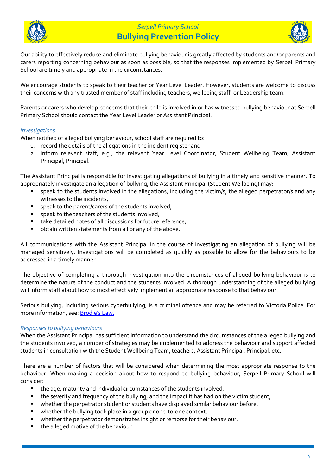



Our ability to effectively reduce and eliminate bullying behaviour is greatly affected by students and/or parents and carers reporting concerning behaviour as soon as possible, so that the responses implemented by Serpell Primary School are timely and appropriate in the circumstances.

We encourage students to speak to their teacher or Year Level Leader. However, students are welcome to discuss their concerns with any trusted member of staff including teachers, wellbeing staff, or Leadership team.

Parents or carers who develop concerns that their child is involved in or has witnessed bullying behaviour at Serpell Primary School should contact the Year Level Leader or Assistant Principal.

### *Investigations*

When notified of alleged bullying behaviour, school staff are required to:

- 1. record the details of the allegations in the incident register and
- 2. inform relevant staff, e.g., the relevant Year Level Coordinator, Student Wellbeing Team, Assistant Principal, Principal.

The Assistant Principal is responsible for investigating allegations of bullying in a timely and sensitive manner. To appropriately investigate an allegation of bullying, the Assistant Principal (Student Wellbeing) may:

- speak to the students involved in the allegations, including the victim/s, the alleged perpetrator/s and any witnesses to the incidents,
- speak to the parent/carers of the students involved,
- speak to the teachers of the students involved.
- take detailed notes of all discussions for future reference,
- obtain written statements from all or any of the above.

All communications with the Assistant Principal in the course of investigating an allegation of bullying will be managed sensitively. Investigations will be completed as quickly as possible to allow for the behaviours to be addressed in a timely manner.

The objective of completing a thorough investigation into the circumstances of alleged bullying behaviour is to determine the nature of the conduct and the students involved. A thorough understanding of the alleged bullying will inform staff about how to most effectively implement an appropriate response to that behaviour.

Serious bullying, including serious cyberbullying, is a criminal offence and may be referred to Victoria Police. For more information, see: [Brodie's Law.](http://www.education.vic.gov.au/about/programs/bullystoppers/Pages/advicesheetbrodieslaw.aspx)

### *Responses to bullying behaviours*

When the Assistant Principal has sufficient information to understand the circumstances of the alleged bullying and the students involved, a number of strategies may be implemented to address the behaviour and support affected students in consultation with the Student Wellbeing Team, teachers, Assistant Principal, Principal, etc.

There are a number of factors that will be considered when determining the most appropriate response to the behaviour. When making a decision about how to respond to bullying behaviour, Serpell Primary School will consider:

- the age, maturity and individual circumstances of the students involved,
- the severity and frequency of the bullying, and the impact it has had on the victim student,
- **•** whether the perpetrator student or students have displayed similar behaviour before,
- whether the bullying took place in a group or one-to-one context,
- whether the perpetrator demonstrates insight or remorse for their behaviour,
- the alleged motive of the behaviour.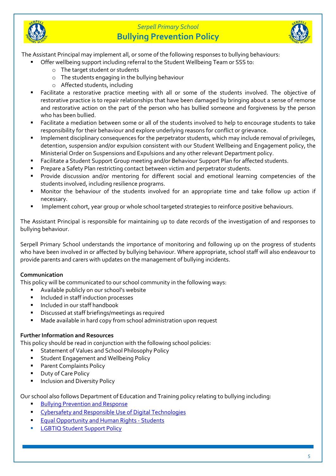



The Assistant Principal may implement all, or some of the following responses to bullying behaviours:

- Offer wellbeing support including referral to the Student Wellbeing Team or SSS to:
	- o The target student or students
	- o The students engaging in the bullying behaviour
	- o Affected students, including
- Facilitate a restorative practice meeting with all or some of the students involved. The objective of restorative practice is to repair relationships that have been damaged by bringing about a sense of remorse and restorative action on the part of the person who has bullied someone and forgiveness by the person who has been bullied.
- Facilitate a mediation between some or all of the students involved to help to encourage students to take responsibility for their behaviour and explore underlying reasons for conflict or grievance.
- Implement disciplinary consequences for the perpetrator students, which may include removal of privileges, detention, suspension and/or expulsion consistent with our Student Wellbeing and Engagement policy, the Ministerial Order on Suspensions and Expulsions and any other relevant Department policy.
- Facilitate a Student Support Group meeting and/or Behaviour Support Plan for affected students.
- Prepare a Safety Plan restricting contact between victim and perpetrator students.
- Provide discussion and/or mentoring for different social and emotional learning competencies of the students involved, including resilience programs.
- Monitor the behaviour of the students involved for an appropriate time and take follow up action if necessary.
- Implement cohort, year group or whole school targeted strategies to reinforce positive behaviours.

The Assistant Principal is responsible for maintaining up to date records of the investigation of and responses to bullying behaviour.

Serpell Primary School understands the importance of monitoring and following up on the progress of students who have been involved in or affected by bullying behaviour. Where appropriate, school staff will also endeavour to provide parents and carers with updates on the management of bullying incidents.

### **Communication**

This policy will be communicated to our school community in the following ways:

- Available publicly on our school's website
- Included in staff induction processes
- Included in our staff handbook
- Discussed at staff briefings/meetings as required
- Made available in hard copy from school administration upon request

### **Further Information and Resources**

This policy should be read in conjunction with the following school policies:

- Statement of Values and School Philosophy Policy
- **EXECT:** Student Engagement and Wellbeing Policy
- Parent Complaints Policy
- Duty of Care Policy
- **Inclusion and Diversity Policy**

Our school also follows Department of Education and Training policy relating to bullying including:

- **[Bullying Prevention and Response](https://www2.education.vic.gov.au/pal/bullying-prevention-response/policy)**
- [Cybersafety and Responsible Use of](https://www2.education.vic.gov.au/pal/cybersafety/policy) Digital Technologies
- **[Equal Opportunity and Human Rights -](https://www2.education.vic.gov.au/pal/equal-opportunity-human-rights-students/policy) Students**
- **[LGBTIQ Student Support Policy](https://www2.education.vic.gov.au/pal/lgbtiq-student-support/policy)**